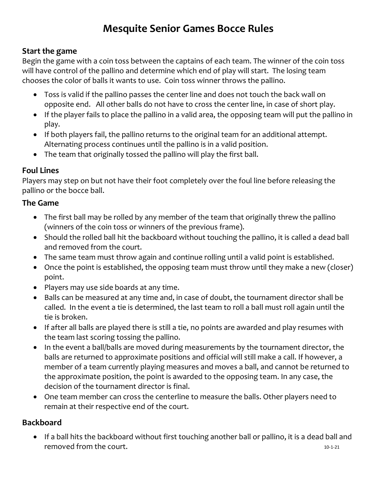# Mesquite Senior Games Bocce Rules

#### Start the game

Begin the game with a coin toss between the captains of each team. The winner of the coin toss will have control of the pallino and determine which end of play will start. The losing team chooses the color of balls it wants to use. Coin toss winner throws the pallino.

- Toss is valid if the pallino passes the center line and does not touch the back wall on opposite end. All other balls do not have to cross the center line, in case of short play.
- If the player fails to place the pallino in a valid area, the opposing team will put the pallino in play.
- If both players fail, the pallino returns to the original team for an additional attempt. Alternating process continues until the pallino is in a valid position.
- The team that originally tossed the pallino will play the first ball.

#### Foul Lines

Players may step on but not have their foot completely over the foul line before releasing the pallino or the bocce ball.

#### The Game

- The first ball may be rolled by any member of the team that originally threw the pallino (winners of the coin toss or winners of the previous frame).
- Should the rolled ball hit the backboard without touching the pallino, it is called a dead ball and removed from the court.
- The same team must throw again and continue rolling until a valid point is established.
- Once the point is established, the opposing team must throw until they make a new (closer) point.
- Players may use side boards at any time.
- Balls can be measured at any time and, in case of doubt, the tournament director shall be called. In the event a tie is determined, the last team to roll a ball must roll again until the tie is broken.
- If after all balls are played there is still a tie, no points are awarded and play resumes with the team last scoring tossing the pallino.
- In the event a ball/balls are moved during measurements by the tournament director, the balls are returned to approximate positions and official will still make a call. If however, a member of a team currently playing measures and moves a ball, and cannot be returned to the approximate position, the point is awarded to the opposing team. In any case, the decision of the tournament director is final.
- One team member can cross the centerline to measure the balls. Other players need to remain at their respective end of the court.

#### Backboard

10-1-21 If a ball hits the backboard without first touching another ball or pallino, it is a dead ball and removed from the court.